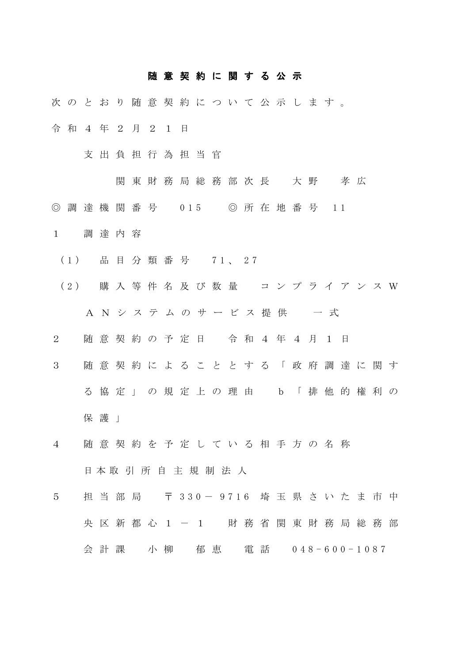## 随 意 契 約 に 関 す る 公 示

- 次のとおり随意契約について公示します。 令 和 4 年 2 月 2 1 日
	- 支 出 負 担 行 為 担 当 官
		- - 関 東 財 務 局 総 務 部 次 長 大 野 孝 広
- ◎ 調 達 機 関 番 号 015 ◎ 所 在 地 番 号 11
- 1 調達内容
- (1) 品 目 分 類 番 号 7 1 、 2 7
- (2) 購 入 等 件 名 及 び 数 量 コンプライアンスW A N シ ス テ ム の サ ー ビ ス 提 供 ー 一 式
- 2 随意契約の予定日 令 和 4 年 4 月 1 日
- 3 随意契約によることとする「政府調達に関す る協定」の規定上の理由 b「排他的権利の 保護 |
- 4 随意契約を予定している相手方の名称 日 本 取 引 所 自 主 規 制 法 人
- 5 担当部局 〒 330 9716 埼 玉 県 さ い た ま 市 中 央区新都心1-1 財務省関東財務局総務部 会 計 課 小 柳 郁 恵 電 話 048-600-1087